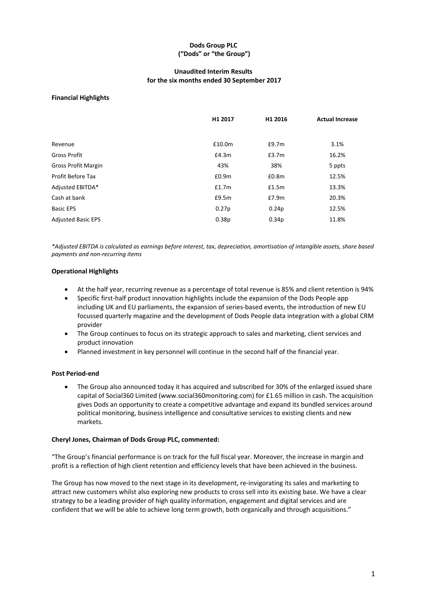# **Dods Group PLC ("Dods" or "the Group")**

## **Unaudited Interim Results for the six months ended 30 September 2017**

### **Financial Highlights**

|                            | H1 2017           | H1 2016           | <b>Actual Increase</b> |
|----------------------------|-------------------|-------------------|------------------------|
|                            |                   |                   |                        |
| Revenue                    | £10.0m            | £9.7m             | 3.1%                   |
| Gross Profit               | £4.3m             | £3.7m             | 16.2%                  |
| <b>Gross Profit Margin</b> | 43%               | 38%               | 5 ppts                 |
| Profit Before Tax          | £0.9 <sub>m</sub> | £0.8 <sub>m</sub> | 12.5%                  |
| Adjusted EBITDA*           | £1.7m             | £1.5m             | 13.3%                  |
| Cash at bank               | £9.5m             | £7.9m             | 20.3%                  |
| <b>Basic EPS</b>           | 0.27p             | 0.24 <sub>p</sub> | 12.5%                  |
| <b>Adjusted Basic EPS</b>  | 0.38p             | 0.34 <sub>p</sub> | 11.8%                  |
|                            |                   |                   |                        |

*\*Adjusted EBITDA is calculated as earnings before interest, tax, depreciation, amortisation of intangible assets, share based payments and non‐recurring items* 

#### **Operational Highlights**

- At the half year, recurring revenue as a percentage of total revenue is 85% and client retention is 94%
- Specific first-half product innovation highlights include the expansion of the Dods People app including UK and EU parliaments, the expansion of series‐based events, the introduction of new EU focussed quarterly magazine and the development of Dods People data integration with a global CRM provider
- The Group continues to focus on its strategic approach to sales and marketing, client services and product innovation
- Planned investment in key personnel will continue in the second half of the financial year.

### **Post Period‐end**

 The Group also announced today it has acquired and subscribed for 30% of the enlarged issued share capital of Social360 Limited (www.social360monitoring.com) for £1.65 million in cash. The acquisition gives Dods an opportunity to create a competitive advantage and expand its bundled services around political monitoring, business intelligence and consultative services to existing clients and new markets.

### **Cheryl Jones, Chairman of Dods Group PLC, commented:**

"The Group's financial performance is on track for the full fiscal year. Moreover, the increase in margin and profit is a reflection of high client retention and efficiency levels that have been achieved in the business.

The Group has now moved to the next stage in its development, re-invigorating its sales and marketing to attract new customers whilst also exploring new products to cross sell into its existing base. We have a clear strategy to be a leading provider of high quality information, engagement and digital services and are confident that we will be able to achieve long term growth, both organically and through acquisitions."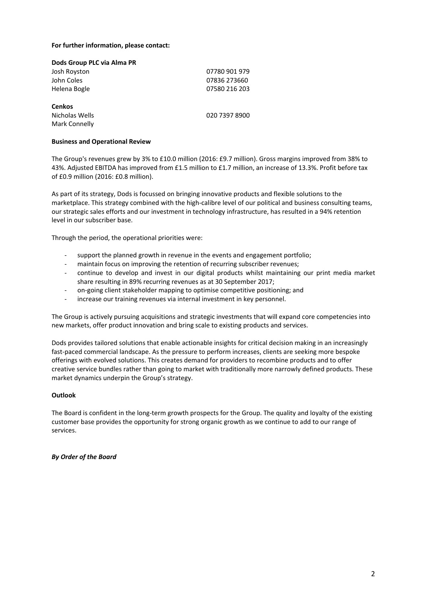#### For further information, please contact:

| Dods Group PLC via Alma PR                              |               |
|---------------------------------------------------------|---------------|
| Josh Royston                                            | 07780 901 979 |
| John Coles                                              | 07836 273660  |
| Helena Bogle                                            | 07580 216 203 |
| <b>Cenkos</b><br>Nicholas Wells<br><b>Mark Connelly</b> | 020 7397 8900 |

#### **Business and Operational Review**

The Group's revenues grew by 3% to £10.0 million (2016: £9.7 million). Gross margins improved from 38% to 43%. Adjusted EBITDA has improved from £1.5 million to £1.7 million, an increase of 13.3%. Profit before tax of £0.9 million (2016: £0.8 million).

As part of its strategy, Dods is focussed on bringing innovative products and flexible solutions to the marketplace. This strategy combined with the high-calibre level of our political and business consulting teams, our strategic sales efforts and our investment in technology infrastructure, has resulted in a 94% retention level in our subscriber base.

Through the period, the operational priorities were:

- ‐ support the planned growth in revenue in the events and engagement portfolio;
- maintain focus on improving the retention of recurring subscriber revenues:
- ‐ continue to develop and invest in our digital products whilst maintaining our print media market share resulting in 89% recurring revenues as at 30 September 2017;
- ‐ on‐going client stakeholder mapping to optimise competitive positioning; and
- ‐ increase our training revenues via internal investment in key personnel.

The Group is actively pursuing acquisitions and strategic investments that will expand core competencies into new markets, offer product innovation and bring scale to existing products and services.

Dods provides tailored solutions that enable actionable insights for critical decision making in an increasingly fast-paced commercial landscape. As the pressure to perform increases, clients are seeking more bespoke offerings with evolved solutions. This creates demand for providers to recombine products and to offer creative service bundles rather than going to market with traditionally more narrowly defined products. These market dynamics underpin the Group's strategy.

### **Outlook**

The Board is confident in the long-term growth prospects for the Group. The quality and loyalty of the existing customer base provides the opportunity for strong organic growth as we continue to add to our range of services.

*By Order of the Board*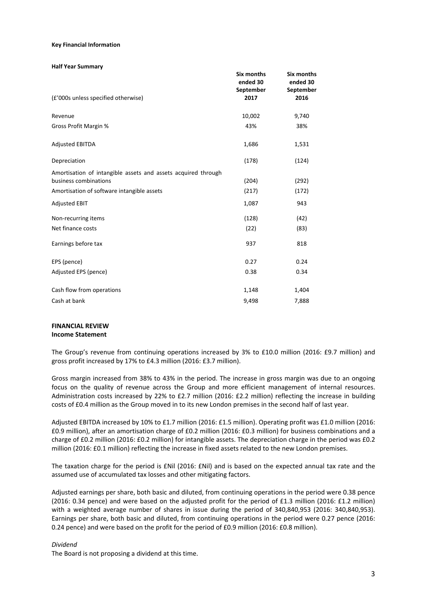#### **Key Financial Information**

#### **Half Year Summary**

| (£'000s unless specified otherwise)                                                    | Six months<br>ended 30<br>September<br>2017 | Six months<br>ended 30<br>September<br>2016 |
|----------------------------------------------------------------------------------------|---------------------------------------------|---------------------------------------------|
| Revenue                                                                                | 10,002                                      | 9,740                                       |
| Gross Profit Margin %                                                                  | 43%                                         | 38%                                         |
| <b>Adjusted EBITDA</b>                                                                 | 1,686                                       | 1,531                                       |
| Depreciation                                                                           | (178)                                       | (124)                                       |
| Amortisation of intangible assets and assets acquired through<br>business combinations | (204)                                       | (292)                                       |
| Amortisation of software intangible assets                                             | (217)                                       | (172)                                       |
| <b>Adjusted EBIT</b>                                                                   | 1,087                                       | 943                                         |
| Non-recurring items                                                                    | (128)                                       | (42)                                        |
| Net finance costs                                                                      | (22)                                        | (83)                                        |
| Earnings before tax                                                                    | 937                                         | 818                                         |
| EPS (pence)                                                                            | 0.27                                        | 0.24                                        |
| Adjusted EPS (pence)                                                                   | 0.38                                        | 0.34                                        |
| Cash flow from operations                                                              | 1,148                                       | 1,404                                       |
| Cash at bank                                                                           | 9,498                                       | 7,888                                       |

# **FINANCIAL REVIEW**

## **Income Statement**

The Group's revenue from continuing operations increased by 3% to £10.0 million (2016: £9.7 million) and gross profit increased by 17% to £4.3 million (2016: £3.7 million).

Gross margin increased from 38% to 43% in the period. The increase in gross margin was due to an ongoing focus on the quality of revenue across the Group and more efficient management of internal resources. Administration costs increased by 22% to £2.7 million (2016: £2.2 million) reflecting the increase in building costs of £0.4 million as the Group moved in to its new London premises in the second half of last year.

Adjusted EBITDA increased by 10% to £1.7 million (2016: £1.5 million). Operating profit was £1.0 million (2016: £0.9 million), after an amortisation charge of £0.2 million (2016: £0.3 million) for business combinations and a charge of £0.2 million (2016: £0.2 million) for intangible assets. The depreciation charge in the period was £0.2 million (2016: £0.1 million) reflecting the increase in fixed assets related to the new London premises.

The taxation charge for the period is £Nil (2016: £Nil) and is based on the expected annual tax rate and the assumed use of accumulated tax losses and other mitigating factors.

Adjusted earnings per share, both basic and diluted, from continuing operations in the period were 0.38 pence (2016: 0.34 pence) and were based on the adjusted profit for the period of £1.3 million (2016: £1.2 million) with a weighted average number of shares in issue during the period of 340,840,953 (2016: 340,840,953). Earnings per share, both basic and diluted, from continuing operations in the period were 0.27 pence (2016: 0.24 pence) and were based on the profit for the period of £0.9 million (2016: £0.8 million).

### *Dividend*

The Board is not proposing a dividend at this time.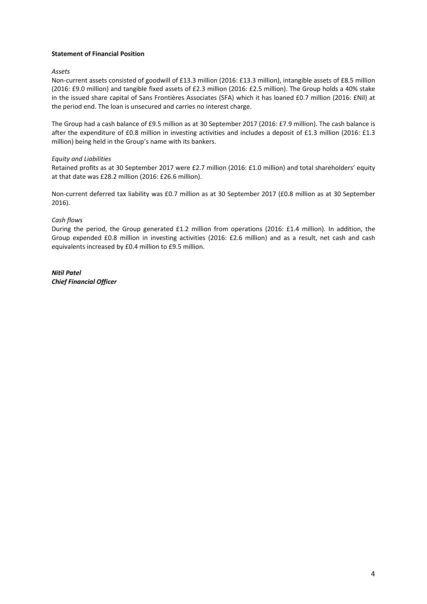### **Statement of Financial Position**

### *Assets*

Non-current assets consisted of goodwill of £13.3 million (2016: £13.3 million), intangible assets of £8.5 million (2016: £9.0 million) and tangible fixed assets of £2.3 million (2016: £2.5 million). The Group holds a 40% stake in the issued share capital of Sans Frontières Associates (SFA) which it has loaned £0.7 million (2016: £Nil) at the period end. The loan is unsecured and carries no interest charge.

The Group had a cash balance of £9.5 million as at 30 September 2017 (2016: £7.9 million). The cash balance is after the expenditure of £0.8 million in investing activities and includes a deposit of £1.3 million (2016: £1.3 million) being held in the Group's name with its bankers.

### *Equity and Liabilities*

Retained profits as at 30 September 2017 were £2.7 million (2016: £1.0 million) and total shareholders' equity at that date was £28.2 million (2016: £26.6 million).

Non‐current deferred tax liability was £0.7 million as at 30 September 2017 (£0.8 million as at 30 September 2016).

### *Cash flows*

During the period, the Group generated £1.2 million from operations (2016: £1.4 million). In addition, the Group expended £0.8 million in investing activities (2016: £2.6 million) and as a result, net cash and cash equivalents increased by £0.4 million to £9.5 million.

*Nitil Patel Chief Financial Officer*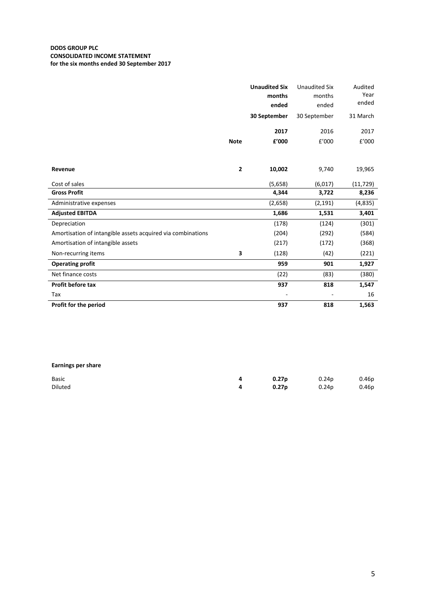### **DODS GROUP PLC CONSOLIDATED INCOME STATEMENT for the six months ended 30 September 2017**

|                                                             |             | <b>Unaudited Six</b><br>months<br>ended | <b>Unaudited Six</b><br>months<br>ended | Audited<br>Year<br>ended |
|-------------------------------------------------------------|-------------|-----------------------------------------|-----------------------------------------|--------------------------|
|                                                             |             | 30 September                            | 30 September                            | 31 March                 |
|                                                             |             | 2017                                    | 2016                                    | 2017                     |
|                                                             | <b>Note</b> | £'000                                   | £'000                                   | £'000                    |
|                                                             |             |                                         |                                         |                          |
| Revenue                                                     | 2           | 10,002                                  | 9,740                                   | 19,965                   |
| Cost of sales                                               |             | (5,658)                                 | (6,017)                                 | (11, 729)                |
| <b>Gross Profit</b>                                         |             | 4,344                                   | 3,722                                   | 8,236                    |
| Administrative expenses                                     |             | (2,658)                                 | (2, 191)                                | (4, 835)                 |
| <b>Adjusted EBITDA</b>                                      |             | 1,686                                   | 1,531                                   | 3,401                    |
| Depreciation                                                |             | (178)                                   | (124)                                   | (301)                    |
| Amortisation of intangible assets acquired via combinations |             | (204)                                   | (292)                                   | (584)                    |
| Amortisation of intangible assets                           |             | (217)                                   | (172)                                   | (368)                    |
| Non-recurring items                                         | 3           | (128)                                   | (42)                                    | (221)                    |
| <b>Operating profit</b>                                     |             | 959                                     | 901                                     | 1,927                    |
| Net finance costs                                           |             | (22)                                    | (83)                                    | (380)                    |
| Profit before tax                                           |             | 937                                     | 818                                     | 1,547                    |
| Tax                                                         |             |                                         |                                         | 16                       |
| Profit for the period                                       |             | 937                                     | 818                                     | 1,563                    |

## **Earnings per share**

| Basic   | 0.27p               | 0.24p 0.46p |  |
|---------|---------------------|-------------|--|
| Diluted | $0.27p$ 0.24p 0.46p |             |  |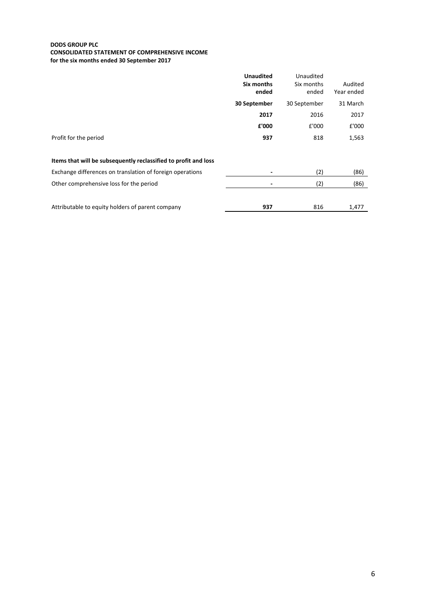#### **DODS GROUP PLC CONSOLIDATED STATEMENT OF COMPREHENSIVE INCOME for the six months ended 30 September 2017**

|                                                                 | <b>Unaudited</b> | Unaudited    |            |
|-----------------------------------------------------------------|------------------|--------------|------------|
|                                                                 | Six months       | Six months   | Audited    |
|                                                                 | ended            | ended        | Year ended |
|                                                                 | 30 September     | 30 September | 31 March   |
|                                                                 | 2017             | 2016         | 2017       |
|                                                                 | £'000            | £'000        | £'000      |
| Profit for the period                                           | 937              | 818          | 1,563      |
|                                                                 |                  |              |            |
| Items that will be subsequently reclassified to profit and loss |                  |              |            |
| Exchange differences on translation of foreign operations       |                  | (2)          | (86)       |
| Other comprehensive loss for the period                         |                  | (2)          | (86)       |
|                                                                 |                  |              |            |
| Attributable to equity holders of parent company                | 937              | 816          | 1,477      |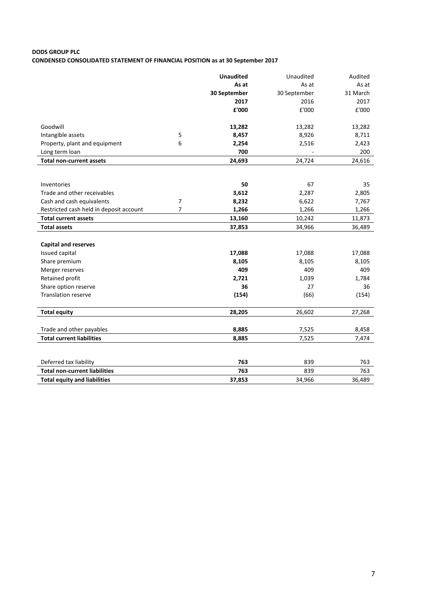# **DODS GROUP PLC CONDENSED CONSOLIDATED STATEMENT OF FINANCIAL POSITION as at 30 September 2017**

|                                         |                | <b>Unaudited</b> | Unaudited    | Audited  |
|-----------------------------------------|----------------|------------------|--------------|----------|
|                                         |                | As at            | As at        | As at    |
|                                         |                | 30 September     | 30 September | 31 March |
|                                         |                | 2017             | 2016         | 2017     |
|                                         |                | £'000            | £'000        | £'000    |
| Goodwill                                |                | 13,282           | 13,282       | 13,282   |
| Intangible assets                       | 5              | 8,457            | 8,926        | 8,711    |
| Property, plant and equipment           | 6              | 2,254            | 2,516        | 2,423    |
| Long term loan                          |                | 700              |              | 200      |
| <b>Total non-current assets</b>         |                | 24,693           | 24,724       | 24,616   |
|                                         |                |                  |              |          |
| Inventories                             |                | 50               | 67           | 35       |
| Trade and other receivables             |                | 3,612            | 2,287        | 2,805    |
| Cash and cash equivalents               | 7              | 8,232            | 6,622        | 7,767    |
| Restricted cash held in deposit account | $\overline{7}$ | 1,266            | 1,266        | 1,266    |
| <b>Total current assets</b>             |                | 13,160           | 10,242       | 11,873   |
| <b>Total assets</b>                     |                | 37,853           | 34,966       | 36,489   |
| <b>Capital and reserves</b>             |                |                  |              |          |
| Issued capital                          |                | 17,088           | 17,088       | 17,088   |
| Share premium                           |                | 8,105            | 8,105        | 8,105    |
| Merger reserves                         |                | 409              | 409          | 409      |
| Retained profit                         |                | 2,721            | 1,039        | 1,784    |
| Share option reserve                    |                | 36               | 27           | 36       |
| <b>Translation reserve</b>              |                | (154)            | (66)         | (154)    |
| <b>Total equity</b>                     |                | 28,205           | 26,602       | 27,268   |
| Trade and other payables                |                | 8,885            | 7,525        | 8,458    |
| <b>Total current liabilities</b>        |                | 8,885            | 7,525        | 7,474    |
|                                         |                |                  |              |          |
| Deferred tax liability                  |                | 763              | 839          | 763      |
| <b>Total non-current liabilities</b>    |                | 763              | 839          | 763      |
| <b>Total equity and liabilities</b>     |                | 37,853           | 34,966       | 36,489   |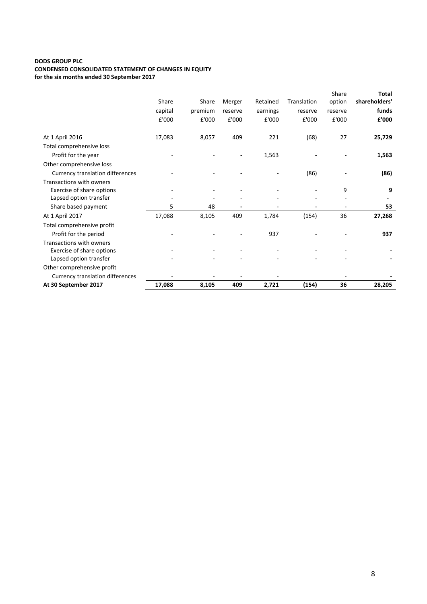### **DODS GROUP PLC CONDENSED CONSOLIDATED STATEMENT OF CHANGES IN EQUITY for the six months ended 30 September 2017**

|                                         |         |         |         |          |             | Share   | <b>Total</b>  |
|-----------------------------------------|---------|---------|---------|----------|-------------|---------|---------------|
|                                         | Share   | Share   | Merger  | Retained | Translation | option  | shareholders' |
|                                         | capital | premium | reserve | earnings | reserve     | reserve | funds         |
|                                         | £'000   | £'000   | £'000   | £'000    | £'000       | £'000   | £'000         |
| At 1 April 2016                         | 17,083  | 8,057   | 409     | 221      | (68)        | 27      | 25,729        |
| Total comprehensive loss                |         |         |         |          |             |         |               |
| Profit for the year                     |         |         |         | 1,563    |             |         | 1,563         |
| Other comprehensive loss                |         |         |         |          |             |         |               |
| <b>Currency translation differences</b> |         |         |         |          | (86)        |         | (86)          |
| Transactions with owners                |         |         |         |          |             |         |               |
| Exercise of share options               |         |         |         |          |             | 9       | 9             |
| Lapsed option transfer                  |         |         |         |          |             |         |               |
| Share based payment                     | 5       | 48      |         |          |             |         | 53            |
| At 1 April 2017                         | 17,088  | 8,105   | 409     | 1,784    | (154)       | 36      | 27,268        |
| Total comprehensive profit              |         |         |         |          |             |         |               |
| Profit for the period                   |         |         |         | 937      |             |         | 937           |
| Transactions with owners                |         |         |         |          |             |         |               |
| Exercise of share options               |         |         |         |          |             |         |               |
| Lapsed option transfer                  |         |         |         |          |             |         |               |
| Other comprehensive profit              |         |         |         |          |             |         |               |
| <b>Currency translation differences</b> |         |         |         |          |             |         |               |
| At 30 September 2017                    | 17,088  | 8,105   | 409     | 2,721    | (154)       | 36      | 28,205        |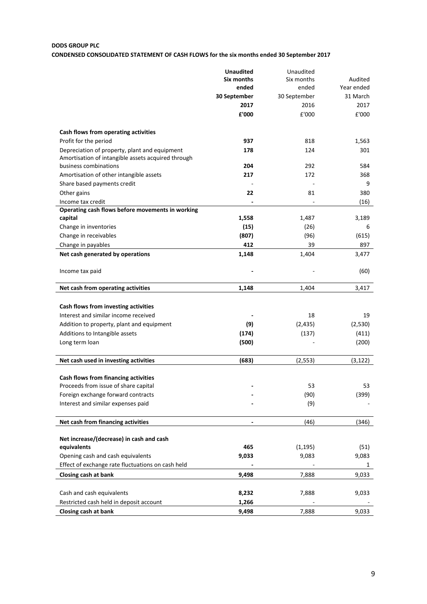# **DODS GROUP PLC**

# **CONDENSED CONSOLIDATED STATEMENT OF CASH FLOWS for the six months ended 30 September 2017**

|                                                    | <b>Unaudited</b>         | Unaudited    |            |
|----------------------------------------------------|--------------------------|--------------|------------|
|                                                    | Six months               | Six months   | Audited    |
|                                                    | ended                    | ended        | Year ended |
|                                                    | 30 September             | 30 September | 31 March   |
|                                                    | 2017                     | 2016         | 2017       |
|                                                    | £'000                    | £'000        | £'000      |
| Cash flows from operating activities               |                          |              |            |
| Profit for the period                              | 937                      | 818          | 1,563      |
| Depreciation of property, plant and equipment      | 178                      | 124          | 301        |
| Amortisation of intangible assets acquired through |                          |              |            |
| business combinations                              | 204                      | 292          | 584        |
| Amortisation of other intangible assets            | 217                      | 172          | 368        |
| Share based payments credit                        |                          |              | 9          |
| Other gains                                        | 22                       | 81           | 380        |
| Income tax credit                                  |                          |              | (16)       |
| Operating cash flows before movements in working   |                          |              |            |
| capital                                            | 1,558                    | 1,487        | 3,189      |
| Change in inventories                              | (15)                     | (26)         | 6          |
| Change in receivables                              | (807)                    | (96)         | (615)      |
| Change in payables                                 | 412                      | 39           | 897        |
| Net cash generated by operations                   | 1,148                    | 1,404        | 3,477      |
| Income tax paid                                    |                          |              | (60)       |
| Net cash from operating activities                 | 1,148                    | 1,404        | 3,417      |
| Cash flows from investing activities               |                          |              |            |
| Interest and similar income received               |                          | 18           | 19         |
| Addition to property, plant and equipment          | (9)                      | (2, 435)     | (2,530)    |
|                                                    | (174)                    |              |            |
| Additions to Intangible assets                     |                          | (137)        | (411)      |
| Long term loan                                     | (500)                    |              | (200)      |
| Net cash used in investing activities              | (683)                    | (2, 553)     | (3, 122)   |
| Cash flows from financing activities               |                          |              |            |
| Proceeds from issue of share capital               |                          | 53           | 53         |
| Foreign exchange forward contracts                 |                          | (90)         | (399)      |
| Interest and similar expenses paid                 |                          | (9)          |            |
| Net cash from financing activities                 | $\overline{\phantom{a}}$ | (46)         | (346)      |
|                                                    |                          |              |            |
| Net increase/(decrease) in cash and cash           |                          |              |            |
| equivalents                                        | 465                      | (1, 195)     | (51)       |
| Opening cash and cash equivalents                  | 9,033                    | 9,083        | 9,083      |
| Effect of exchange rate fluctuations on cash held  |                          |              | 1          |
| Closing cash at bank                               | 9,498                    | 7,888        | 9,033      |
| Cash and cash equivalents                          | 8,232                    | 7,888        | 9,033      |
| Restricted cash held in deposit account            | 1,266                    |              |            |
| Closing cash at bank                               | 9,498                    | 7,888        | 9,033      |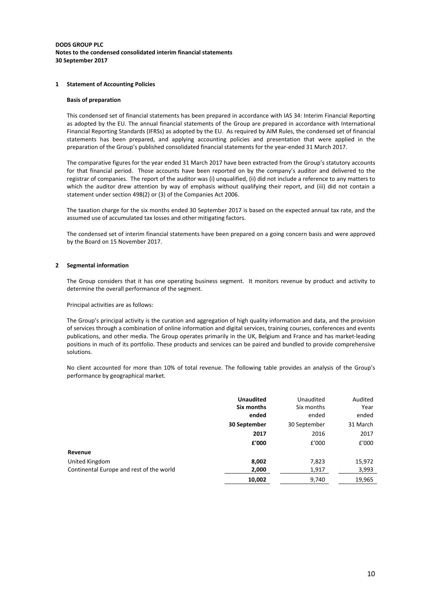#### **DODS GROUP PLC Notes to the condensed consolidated interim financial statements 30 September 2017**

#### **1 Statement of Accounting Policies**

#### **Basis of preparation**

This condensed set of financial statements has been prepared in accordance with IAS 34: Interim Financial Reporting as adopted by the EU. The annual financial statements of the Group are prepared in accordance with International Financial Reporting Standards (IFRSs) as adopted by the EU. As required by AIM Rules, the condensed set of financial statements has been prepared, and applying accounting policies and presentation that were applied in the preparation of the Group's published consolidated financial statements for the year-ended 31 March 2017.

The comparative figures for the year ended 31 March 2017 have been extracted from the Group's statutory accounts for that financial period. Those accounts have been reported on by the company's auditor and delivered to the registrar of companies. The report of the auditor was (i) unqualified, (ii) did not include a reference to any matters to which the auditor drew attention by way of emphasis without qualifying their report, and (iii) did not contain a statement under section 498(2) or (3) of the Companies Act 2006.

The taxation charge for the six months ended 30 September 2017 is based on the expected annual tax rate, and the assumed use of accumulated tax losses and other mitigating factors.

The condensed set of interim financial statements have been prepared on a going concern basis and were approved by the Board on 15 November 2017.

#### **2 Segmental information**

The Group considers that it has one operating business segment. It monitors revenue by product and activity to determine the overall performance of the segment.

Principal activities are as follows:

The Group's principal activity is the curation and aggregation of high quality information and data, and the provision of services through a combination of online information and digital services, training courses, conferences and events publications, and other media. The Group operates primarily in the UK, Belgium and France and has market‐leading positions in much of its portfolio. These products and services can be paired and bundled to provide comprehensive solutions.

No client accounted for more than 10% of total revenue. The following table provides an analysis of the Group's performance by geographical market.

|                                                            | <b>Unaudited</b>         | Unaudited               | Audited                   |
|------------------------------------------------------------|--------------------------|-------------------------|---------------------------|
|                                                            | Six months               | Six months              | Year                      |
|                                                            | ended                    | ended                   | ended                     |
|                                                            | 30 September             | 30 September            | 31 March                  |
| Revenue                                                    | 2017                     | 2016                    | 2017                      |
|                                                            | £'000                    | £'000                   | £'000                     |
| United Kingdom<br>Continental Europe and rest of the world | 8,002<br>2,000<br>10,002 | 7,823<br>1,917<br>9,740 | 15,972<br>3,993<br>19,965 |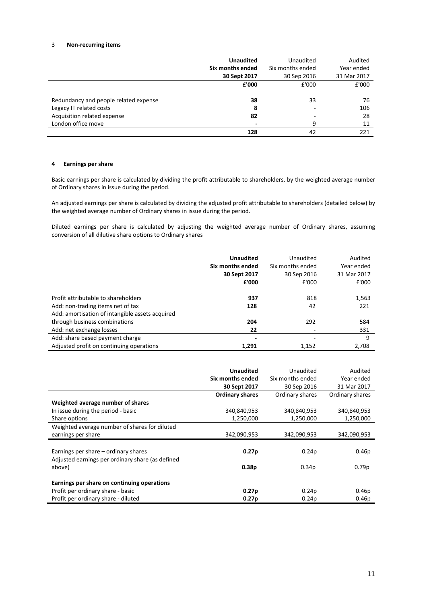#### 3 **Non‐recurring items**

|                                       | <b>Unaudited</b><br>Six months ended<br>30 Sept 2017 | Unaudited<br>Six months ended<br>30 Sep 2016 | Audited<br>Year ended<br>31 Mar 2017 |
|---------------------------------------|------------------------------------------------------|----------------------------------------------|--------------------------------------|
|                                       | £'000                                                | £'000                                        | £'000                                |
| Redundancy and people related expense | 38                                                   | 33                                           | 76                                   |
| Legacy IT related costs               | 8                                                    |                                              | 106                                  |
| Acquisition related expense           | 82                                                   | -                                            | 28                                   |
| London office move                    |                                                      | 9                                            | 11                                   |
|                                       | 128                                                  | 42                                           | 221                                  |

#### **4 Earnings per share**

Basic earnings per share is calculated by dividing the profit attributable to shareholders, by the weighted average number of Ordinary shares in issue during the period.

An adjusted earnings per share is calculated by dividing the adjusted profit attributable to shareholders (detailed below) by the weighted average number of Ordinary shares in issue during the period.

Diluted earnings per share is calculated by adjusting the weighted average number of Ordinary shares, assuming conversion of all dilutive share options to Ordinary shares

|                                                 | <b>Unaudited</b><br>Six months ended<br>30 Sept 2017 | Unaudited<br>Six months ended<br>30 Sep 2016 | Audited<br>Year ended<br>31 Mar 2017 |
|-------------------------------------------------|------------------------------------------------------|----------------------------------------------|--------------------------------------|
|                                                 | £'000                                                | £'000                                        | £'000                                |
| Profit attributable to shareholders             | 937                                                  | 818                                          | 1,563                                |
| Add: non-trading items net of tax               | 128                                                  | 42                                           | 221                                  |
| Add: amortisation of intangible assets acquired |                                                      |                                              |                                      |
| through business combinations                   | 204                                                  | 292                                          | 584                                  |
| Add: net exchange losses                        | 22                                                   |                                              | 331                                  |
| Add: share based payment charge                 | $\overline{\phantom{0}}$                             | ٠                                            | 9                                    |
| Adjusted profit on continuing operations        | 1,291                                                | 1,152                                        | 2,708                                |

|                                                  | <b>Unaudited</b>       | Unaudited         | Audited           |
|--------------------------------------------------|------------------------|-------------------|-------------------|
|                                                  | Six months ended       | Six months ended  | Year ended        |
|                                                  |                        |                   |                   |
|                                                  | 30 Sept 2017           | 30 Sep 2016       | 31 Mar 2017       |
|                                                  | <b>Ordinary shares</b> | Ordinary shares   | Ordinary shares   |
| Weighted average number of shares                |                        |                   |                   |
| In issue during the period - basic               | 340,840,953            | 340,840,953       | 340,840,953       |
| Share options                                    | 1,250,000              | 1,250,000         | 1,250,000         |
| Weighted average number of shares for diluted    |                        |                   |                   |
| earnings per share                               | 342,090,953            | 342,090,953       | 342,090,953       |
|                                                  |                        |                   |                   |
| Earnings per share – ordinary shares             | 0.27 <sub>p</sub>      | 0.24 <sub>p</sub> | 0.46 <sub>p</sub> |
| Adjusted earnings per ordinary share (as defined |                        |                   |                   |
| above)                                           | 0.38 <sub>p</sub>      | 0.34 <sub>p</sub> | 0.79 <sub>p</sub> |
|                                                  |                        |                   |                   |
| Earnings per share on continuing operations      |                        |                   |                   |
| Profit per ordinary share - basic                | 0.27 <sub>p</sub>      | 0.24p             | 0.46p             |
| Profit per ordinary share - diluted              | 0.27 <sub>p</sub>      | 0.24 <sub>p</sub> | 0.46 <sub>p</sub> |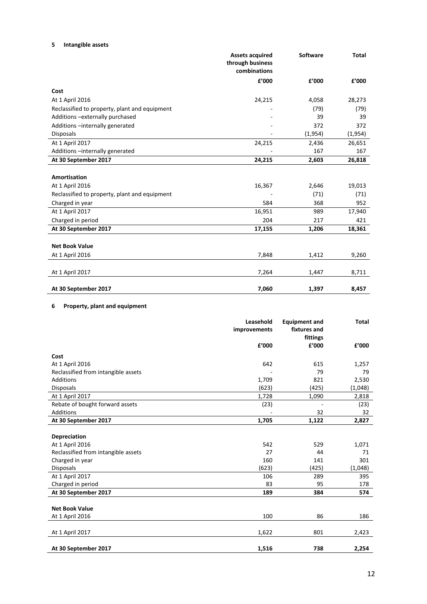## **5 Intangible assets**

|                                               | <b>Assets acquired</b><br>through business<br>combinations | <b>Software</b> | <b>Total</b> |
|-----------------------------------------------|------------------------------------------------------------|-----------------|--------------|
|                                               | £'000                                                      | £'000           | £'000        |
| Cost                                          |                                                            |                 |              |
| At 1 April 2016                               | 24,215                                                     | 4,058           | 28,273       |
| Reclassified to property, plant and equipment |                                                            | (79)            | (79)         |
| Additions - externally purchased              |                                                            | 39              | 39           |
| Additions -internally generated               |                                                            | 372             | 372          |
| <b>Disposals</b>                              |                                                            | (1,954)         | (1,954)      |
| At 1 April 2017                               | 24,215                                                     | 2,436           | 26,651       |
| Additions -internally generated               |                                                            | 167             | 167          |
| At 30 September 2017                          | 24,215                                                     | 2,603           | 26,818       |
|                                               |                                                            |                 |              |
| <b>Amortisation</b>                           |                                                            |                 |              |
| At 1 April 2016                               | 16,367                                                     | 2,646           | 19,013       |
| Reclassified to property, plant and equipment |                                                            | (71)            | (71)         |
| Charged in year                               | 584                                                        | 368             | 952          |
| At 1 April 2017                               | 16,951                                                     | 989             | 17,940       |
| Charged in period                             | 204                                                        | 217             | 421          |
| At 30 September 2017                          | 17,155                                                     | 1,206           | 18,361       |
|                                               |                                                            |                 |              |
| <b>Net Book Value</b>                         |                                                            |                 |              |
| At 1 April 2016                               | 7,848                                                      | 1,412           | 9,260        |
| At 1 April 2017                               | 7,264                                                      | 1,447           | 8,711        |
|                                               |                                                            |                 |              |
| At 30 September 2017                          | 7,060                                                      | 1,397           | 8,457        |

## **6 Property, plant and equipment**

|                                     | Leasehold<br>improvements | <b>Equipment and</b><br>fixtures and | <b>Total</b> |
|-------------------------------------|---------------------------|--------------------------------------|--------------|
|                                     | £'000                     | fittings<br>£'000                    | f'000        |
|                                     |                           |                                      |              |
| Cost                                |                           |                                      |              |
| At 1 April 2016                     | 642                       | 615                                  | 1,257        |
| Reclassified from intangible assets |                           | 79                                   | 79           |
| <b>Additions</b>                    | 1,709                     | 821                                  | 2,530        |
| <b>Disposals</b>                    | (623)                     | (425)                                | (1,048)      |
| At 1 April 2017                     | 1,728                     | 1,090                                | 2,818        |
| Rebate of bought forward assets     | (23)                      |                                      | (23)         |
| Additions                           |                           | 32                                   | 32           |
| At 30 September 2017                | 1,705                     | 1,122                                | 2,827        |
|                                     |                           |                                      |              |
| Depreciation                        |                           |                                      |              |
| At 1 April 2016                     | 542                       | 529                                  | 1,071        |
| Reclassified from intangible assets | 27                        | 44                                   | 71           |
| Charged in year                     | 160                       | 141                                  | 301          |
| <b>Disposals</b>                    | (623)                     | (425)                                | (1,048)      |
| At 1 April 2017                     | 106                       | 289                                  | 395          |
| Charged in period                   | 83                        | 95                                   | 178          |
| At 30 September 2017                | 189                       | 384                                  | 574          |
|                                     |                           |                                      |              |
| <b>Net Book Value</b>               |                           |                                      |              |
| At 1 April 2016                     | 100                       | 86                                   | 186          |
|                                     |                           |                                      |              |
| At 1 April 2017                     | 1,622                     | 801                                  | 2,423        |
|                                     |                           |                                      |              |
| At 30 September 2017                | 1,516                     | 738                                  | 2,254        |